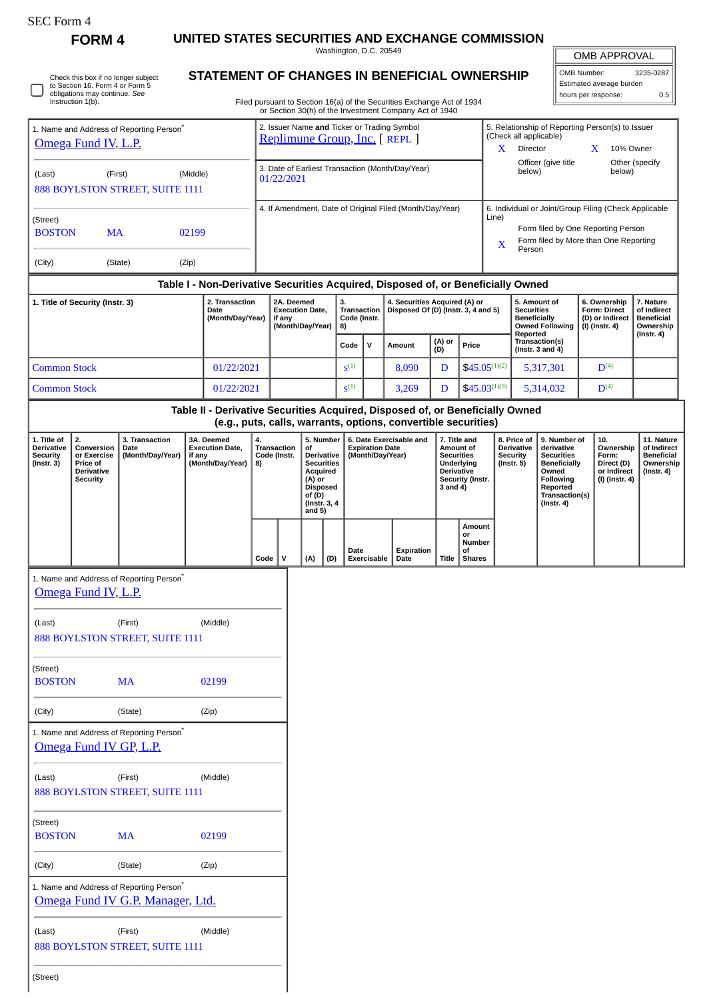| ،F.C. Form |
|------------|
|------------|

**FORM 4 UNITED STATES SECURITIES AND EXCHANGE COMMISSION** Washington, D.C. 20549

OMB APPROVAL

| OMB Number:              | 3235-0287 |  |  |  |  |  |  |
|--------------------------|-----------|--|--|--|--|--|--|
| Estimated average burden |           |  |  |  |  |  |  |
| hours per response:      | 0.5       |  |  |  |  |  |  |
|                          |           |  |  |  |  |  |  |

Other (specify

5. Relationship of Reporting Person(s) to Issuer

 $\mathbb{F}$ 

X Director X 10% Owner

(Check all applicable)

Officer (give title

Check this box if no longer subject to Section 16. Form 4 or Form 5 obligations may continue. *See* Instruction 1(b). П

1. Name and Address of Reporting Person\*

[Omega Fund IV, L.P.](http://www.sec.gov/cgi-bin/browse-edgar?action=getcompany&CIK=0001528382)

## **STATEMENT OF CHANGES IN BENEFICIAL OWNERSHIP**

Filed pursuant to Section 16(a) of the Securities Exchange Act of 1934 or Section 30(h) of the Investment Company Act of 1940

2. Issuer Name **and** Ticker or Trading Symbol<br><u>[Replimune Group, Inc.](http://www.sec.gov/cgi-bin/browse-edgar?action=getcompany&CIK=0001737953)</u> [ REPL ]

| (Last)                                                                       |                                                                                                    | (First)<br>888 BOYLSTON STREET, SUITE 1111 | (Middle) |                                                                               |          | 3. Date of Earliest Transaction (Month/Day/Year)<br>01/22/2021                                                                                                        |     |                                                    |           |                                               |                                                                       |                                                                                                                                                              | Officer (give title<br>Other (specify<br>below)<br>below)                                                         |                                        |                                               |                                                                                      |                                                                                                                                                |                                                          |                                                                          |                                                                                 |           |
|------------------------------------------------------------------------------|----------------------------------------------------------------------------------------------------|--------------------------------------------|----------|-------------------------------------------------------------------------------|----------|-----------------------------------------------------------------------------------------------------------------------------------------------------------------------|-----|----------------------------------------------------|-----------|-----------------------------------------------|-----------------------------------------------------------------------|--------------------------------------------------------------------------------------------------------------------------------------------------------------|-------------------------------------------------------------------------------------------------------------------|----------------------------------------|-----------------------------------------------|--------------------------------------------------------------------------------------|------------------------------------------------------------------------------------------------------------------------------------------------|----------------------------------------------------------|--------------------------------------------------------------------------|---------------------------------------------------------------------------------|-----------|
| (Street)<br><b>BOSTON</b>                                                    | <b>MA</b>                                                                                          |                                            | 02199    |                                                                               |          | 4. If Amendment, Date of Original Filed (Month/Day/Year)                                                                                                              |     |                                                    |           |                                               |                                                                       | 6. Individual or Joint/Group Filing (Check Applicable<br>Line)<br>Form filed by One Reporting Person<br>Form filed by More than One Reporting<br>x<br>Person |                                                                                                                   |                                        |                                               |                                                                                      |                                                                                                                                                |                                                          |                                                                          |                                                                                 |           |
| (City)                                                                       |                                                                                                    | (State)                                    | (Zip)    |                                                                               |          |                                                                                                                                                                       |     |                                                    |           |                                               |                                                                       |                                                                                                                                                              |                                                                                                                   |                                        |                                               |                                                                                      |                                                                                                                                                |                                                          |                                                                          |                                                                                 |           |
|                                                                              | Table I - Non-Derivative Securities Acquired, Disposed of, or Beneficially Owned<br>2. Transaction |                                            |          |                                                                               |          | 2A. Deemed                                                                                                                                                            |     |                                                    | З.        |                                               |                                                                       |                                                                                                                                                              | 4. Securities Acquired (A) or                                                                                     |                                        |                                               |                                                                                      |                                                                                                                                                | 5. Amount of                                             |                                                                          | 6. Ownership                                                                    | 7. Nature |
| 1. Title of Security (Instr. 3)<br>Date<br>(Month/Day/Year)                  |                                                                                                    |                                            |          | <b>Execution Date.</b><br>if any<br>(Month/Day/Year)                          |          |                                                                                                                                                                       | 8)  | Transaction<br>Code (Instr.<br>$\mathbf v$<br>Code |           | Disposed Of (D) (Instr. 3, 4 and 5)<br>Amount |                                                                       | (A) or                                                                                                                                                       |                                                                                                                   | Reported                               |                                               | <b>Securities</b><br><b>Beneficially</b><br><b>Owned Following</b><br>Transaction(s) |                                                                                                                                                | <b>Form: Direct</b><br>(D) or Indirect<br>(I) (Instr. 4) | of Indirect<br><b>Beneficial</b><br>Ownership<br>(Instr. 4)              |                                                                                 |           |
| <b>Common Stock</b>                                                          |                                                                                                    |                                            |          | 01/22/2021                                                                    |          |                                                                                                                                                                       |     |                                                    | $S^{(1)}$ |                                               |                                                                       |                                                                                                                                                              | 8,090                                                                                                             | (D)<br>D                               | Price                                         |                                                                                      |                                                                                                                                                | (Instr. $3$ and $4$ )                                    |                                                                          | D <sup>(4)</sup>                                                                |           |
| <b>Common Stock</b>                                                          |                                                                                                    |                                            |          | 01/22/2021                                                                    |          |                                                                                                                                                                       |     | S <sup>(1)</sup>                                   |           |                                               |                                                                       | 3,269                                                                                                                                                        | D                                                                                                                 | $$45.05^{(1)(2)}$<br>$$45.03^{(1)(3)}$ |                                               | 5,317,301<br>5,314,032                                                               |                                                                                                                                                |                                                          | D <sup>(4)</sup>                                                         |                                                                                 |           |
|                                                                              |                                                                                                    |                                            |          | Table II - Derivative Securities Acquired, Disposed of, or Beneficially Owned |          |                                                                                                                                                                       |     |                                                    |           |                                               |                                                                       |                                                                                                                                                              |                                                                                                                   |                                        |                                               |                                                                                      |                                                                                                                                                |                                                          |                                                                          |                                                                                 |           |
|                                                                              |                                                                                                    |                                            |          | (e.g., puts, calls, warrants, options, convertible securities)                |          |                                                                                                                                                                       |     |                                                    |           |                                               |                                                                       |                                                                                                                                                              |                                                                                                                   |                                        |                                               |                                                                                      |                                                                                                                                                |                                                          |                                                                          |                                                                                 |           |
| 1. Title of<br><b>Derivative</b><br><b>Security</b><br>(Instr. 3)            | 2.<br>Conversion<br>or Exercise<br>Price of<br><b>Derivative</b><br><b>Security</b>                | 3. Transaction<br>Date<br>(Month/Day/Year) | if any   | 3A. Deemed<br><b>Execution Date,</b><br>(Month/Day/Year)                      | 4.<br>8) | 5. Number<br>Transaction<br>of<br>Code (Instr.<br>Derivative<br><b>Securities</b><br><b>Acquired</b><br>(A) or<br><b>Disposed</b><br>of (D)<br>(Instr. 3, 4<br>and 5) |     |                                                    |           |                                               | 6. Date Exercisable and<br><b>Expiration Date</b><br>(Month/Day/Year) |                                                                                                                                                              | 7. Title and<br>Amount of<br><b>Securities</b><br>Underlying<br><b>Derivative</b><br>Security (Instr.<br>3 and 4) |                                        |                                               | 8. Price of<br>Derivative<br><b>Security</b><br>$($ Instr. 5 $)$                     | 9. Number of<br>derivative<br><b>Securities</b><br><b>Beneficially</b><br>Owned<br>Following<br>Reported<br>Transaction(s)<br>$($ Instr. 4 $)$ |                                                          | 10.<br>Ownership<br>Form:<br>Direct (D)<br>or Indirect<br>(I) (Instr. 4) | 11. Nature<br>of Indirect<br><b>Beneficial</b><br>Ownership<br>$($ Instr. 4 $)$ |           |
|                                                                              |                                                                                                    |                                            |          |                                                                               | Code     | v                                                                                                                                                                     | (A) | (D)                                                |           | Date                                          | <b>Exercisable</b>                                                    |                                                                                                                                                              | Expiration<br>Date                                                                                                | Title                                  | Amount<br>or<br>Number<br>οf<br><b>Shares</b> |                                                                                      |                                                                                                                                                |                                                          |                                                                          |                                                                                 |           |
|                                                                              | Omega Fund IV, L.P.                                                                                | 1. Name and Address of Reporting Person*   |          |                                                                               |          |                                                                                                                                                                       |     |                                                    |           |                                               |                                                                       |                                                                                                                                                              |                                                                                                                   |                                        |                                               |                                                                                      |                                                                                                                                                |                                                          |                                                                          |                                                                                 |           |
| (First)<br>(Middle)<br>(Last)<br>888 BOYLSTON STREET, SUITE 1111             |                                                                                                    |                                            |          |                                                                               |          |                                                                                                                                                                       |     |                                                    |           |                                               |                                                                       |                                                                                                                                                              |                                                                                                                   |                                        |                                               |                                                                                      |                                                                                                                                                |                                                          |                                                                          |                                                                                 |           |
| (Street)<br><b>BOSTON</b>                                                    |                                                                                                    | <b>MA</b>                                  |          | 02199                                                                         |          |                                                                                                                                                                       |     |                                                    |           |                                               |                                                                       |                                                                                                                                                              |                                                                                                                   |                                        |                                               |                                                                                      |                                                                                                                                                |                                                          |                                                                          |                                                                                 |           |
| (City)                                                                       |                                                                                                    | (State)                                    |          | (Zip)                                                                         |          |                                                                                                                                                                       |     |                                                    |           |                                               |                                                                       |                                                                                                                                                              |                                                                                                                   |                                        |                                               |                                                                                      |                                                                                                                                                |                                                          |                                                                          |                                                                                 |           |
| 1. Name and Address of Reporting Person*<br>Omega Fund IV GP, L.P.           |                                                                                                    |                                            |          |                                                                               |          |                                                                                                                                                                       |     |                                                    |           |                                               |                                                                       |                                                                                                                                                              |                                                                                                                   |                                        |                                               |                                                                                      |                                                                                                                                                |                                                          |                                                                          |                                                                                 |           |
| (Last)                                                                       |                                                                                                    | (First)<br>888 BOYLSTON STREET, SUITE 1111 |          | (Middle)                                                                      |          |                                                                                                                                                                       |     |                                                    |           |                                               |                                                                       |                                                                                                                                                              |                                                                                                                   |                                        |                                               |                                                                                      |                                                                                                                                                |                                                          |                                                                          |                                                                                 |           |
| (Street)<br><b>BOSTON</b>                                                    |                                                                                                    | <b>MA</b>                                  |          | 02199                                                                         |          |                                                                                                                                                                       |     |                                                    |           |                                               |                                                                       |                                                                                                                                                              |                                                                                                                   |                                        |                                               |                                                                                      |                                                                                                                                                |                                                          |                                                                          |                                                                                 |           |
| (City)                                                                       |                                                                                                    | (State)                                    |          | (Zip)                                                                         |          |                                                                                                                                                                       |     |                                                    |           |                                               |                                                                       |                                                                                                                                                              |                                                                                                                   |                                        |                                               |                                                                                      |                                                                                                                                                |                                                          |                                                                          |                                                                                 |           |
| 1. Name and Address of Reporting Person*<br>Omega Fund IV G.P. Manager, Ltd. |                                                                                                    |                                            |          |                                                                               |          |                                                                                                                                                                       |     |                                                    |           |                                               |                                                                       |                                                                                                                                                              |                                                                                                                   |                                        |                                               |                                                                                      |                                                                                                                                                |                                                          |                                                                          |                                                                                 |           |
| (Last)                                                                       |                                                                                                    | (First)<br>888 BOYLSTON STREET, SUITE 1111 |          | (Middle)                                                                      |          |                                                                                                                                                                       |     |                                                    |           |                                               |                                                                       |                                                                                                                                                              |                                                                                                                   |                                        |                                               |                                                                                      |                                                                                                                                                |                                                          |                                                                          |                                                                                 |           |
| (Street)                                                                     |                                                                                                    |                                            |          |                                                                               |          |                                                                                                                                                                       |     |                                                    |           |                                               |                                                                       |                                                                                                                                                              |                                                                                                                   |                                        |                                               |                                                                                      |                                                                                                                                                |                                                          |                                                                          |                                                                                 |           |